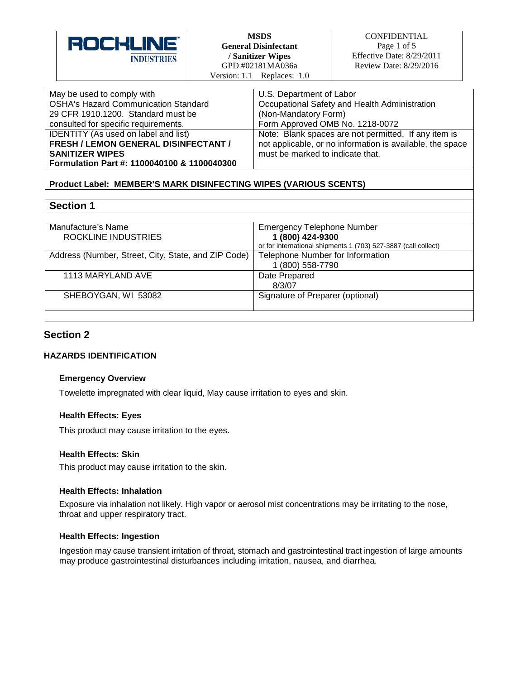|                                      | <b>MSDS</b>                                                                           | <b>CONFIDENTIAL</b>       |
|--------------------------------------|---------------------------------------------------------------------------------------|---------------------------|
| ROCKLINE                             | <b>General Disinfectant</b>                                                           | Page 1 of 5               |
| <b>INDUSTRIES</b>                    | / Sanitizer Wipes                                                                     | Effective Date: 8/29/2011 |
|                                      | GPD #02181MA036a                                                                      | Review Date: 8/29/2016    |
|                                      | Version: 1.1 Replaces: 1.0                                                            |                           |
|                                      |                                                                                       |                           |
| And the second to a second the Mills | $\mathbf{H} \mathbf{R}$ $\mathbf{R}$ and $\mathbf{R}$ are substituted in $\mathbf{R}$ |                           |

| May be used to comply with                  | U.S. Department of Labor                                  |
|---------------------------------------------|-----------------------------------------------------------|
| <b>OSHA's Hazard Communication Standard</b> | Occupational Safety and Health Administration             |
| 29 CFR 1910.1200. Standard must be          | (Non-Mandatory Form)                                      |
| consulted for specific requirements.        | Form Approved OMB No. 1218-0072                           |
| <b>IDENTITY</b> (As used on label and list) | Note: Blank spaces are not permitted. If any item is      |
| FRESH / LEMON GENERAL DISINFECTANT /        | not applicable, or no information is available, the space |
| <b>SANITIZER WIPES</b>                      | must be marked to indicate that.                          |
| Formulation Part #: 1100040100 & 1100040300 |                                                           |

## **Product Label: MEMBER'S MARK DISINFECTING WIPES (VARIOUS SCENTS)**

## **Section 1**

| Manufacture's Name                                  | <b>Emergency Telephone Number</b>                              |
|-----------------------------------------------------|----------------------------------------------------------------|
| ROCKLINE INDUSTRIES                                 | 1 (800) 424-9300                                               |
|                                                     | or for international shipments 1 (703) 527-3887 (call collect) |
| Address (Number, Street, City, State, and ZIP Code) | Telephone Number for Information                               |
|                                                     | 1 (800) 558-7790                                               |
| 1113 MARYLAND AVE                                   | Date Prepared                                                  |
|                                                     | 8/3/07                                                         |
| SHEBOYGAN, WI 53082                                 | Signature of Preparer (optional)                               |
|                                                     |                                                                |
|                                                     |                                                                |

## **Section 2**

## **HAZARDS IDENTIFICATION**

#### **Emergency Overview**

Towelette impregnated with clear liquid, May cause irritation to eyes and skin.

#### **Health Effects: Eyes**

This product may cause irritation to the eyes.

#### **Health Effects: Skin**

This product may cause irritation to the skin.

### **Health Effects: Inhalation**

Exposure via inhalation not likely. High vapor or aerosol mist concentrations may be irritating to the nose, throat and upper respiratory tract.

#### **Health Effects: Ingestion**

Ingestion may cause transient irritation of throat, stomach and gastrointestinal tract ingestion of large amounts may produce gastrointestinal disturbances including irritation, nausea, and diarrhea.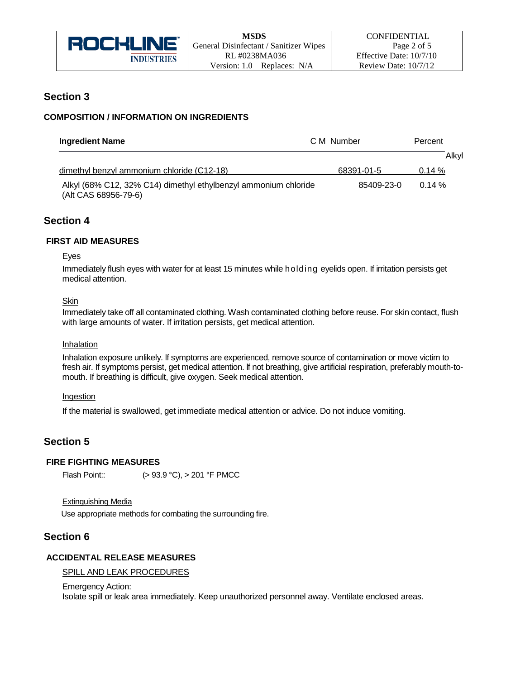

# **Section 3**

## **COMPOSITION / INFORMATION ON INGREDIENTS**

| <b>Ingredient Name</b>                                                                  | C M Number | Percent      |
|-----------------------------------------------------------------------------------------|------------|--------------|
|                                                                                         |            | <b>Alkyl</b> |
| dimethyl benzyl ammonium chloride (C12-18)                                              | 68391-01-5 | $0.14\%$     |
| Alkyl (68% C12, 32% C14) dimethyl ethylbenzyl ammonium chloride<br>(Alt CAS 68956-79-6) | 85409-23-0 | 0.14%        |

# **Section 4**

## **FIRST AID MEASURES**

## Eyes

Immediately flush eyes with water for at least 15 minutes while holding eyelids open. If irritation persists get medical attention.

## **Skin**

Immediately take off all contaminated clothing. Wash contaminated clothing before reuse. For skin contact, flush with large amounts of water. If irritation persists, get medical attention.

### **Inhalation**

Inhalation exposure unlikely. lf symptoms are experienced, remove source of contamination or move victim to fresh air. If symptoms persist, get medical attention. lf not breathing, give artificial respiration, preferably mouth-tomouth. If breathing is difficult, give oxygen. Seek medical attention.

## **Ingestion**

If the material is swallowed, get immediate medical attention or advice. Do not induce vomiting.

# **Section 5**

## **FIRE FIGHTING MEASURES**

Flash Point:: (> 93.9 °C), > 201 °F PMCC

#### Extinguishing Media

Use appropriate methods for combating the surrounding fire.

## **Section 6**

## **ACCIDENTAL RELEASE MEASURES**

#### SPILL AND LEAK PROCEDURES

Emergency Action:

Isolate spill or leak area immediately. Keep unauthorized personnel away. Ventilate enclosed areas.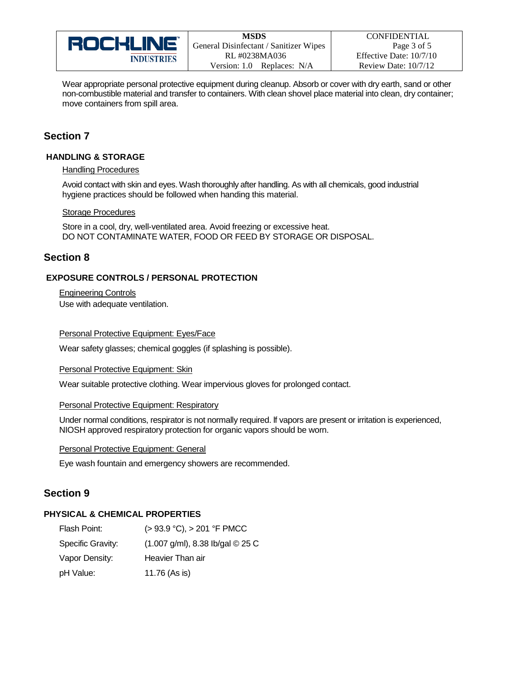

Wear appropriate personal protective equipment during cleanup. Absorb or cover with dry earth, sand or other non-combustible material and transfer to containers. With clean shovel place material into clean, dry container; move containers from spill area.

## **Section 7**

#### **HANDLING & STORAGE**

#### Handling Procedures

Avoid contact with skin and eyes. Wash thoroughly after handling. As with all chemicals, good industrial hygiene practices should be followed when handing this material.

#### Storage Procedures

Store in a cool, dry, well-ventilated area. Avoid freezing or excessive heat. DO NOT CONTAMINATE WATER, FOOD OR FEED BY STORAGE OR DISPOSAL.

## **Section 8**

### **EXPOSURE CONTROLS / PERSONAL PROTECTION**

Engineering Controls Use with adequate ventilation.

#### Personal Protective Equipment: Eyes/Face

Wear safety glasses; chemical goggles (if splashing is possible).

#### Personal Protective Equipment: Skin

Wear suitable protective clothing. Wear impervious gloves for prolonged contact.

#### **Personal Protective Equipment: Respiratory**

Under normal conditions, respirator is not normally required. lf vapors are present or irritation is experienced, NIOSH approved respiratory protection for organic vapors should be worn.

#### Personal Protective Equipment: General

Eye wash fountain and emergency showers are recommended.

## **Section 9**

#### **PHYSICAL & CHEMICAL PROPERTIES**

| Flash Point:      | $(>93.9 °C)$ , $> 201 °F$ PMCC                    |
|-------------------|---------------------------------------------------|
| Specific Gravity: | $(1.007 \text{ g/ml})$ , 8.38 lb/gal $\odot$ 25 C |
| Vapor Density:    | Heavier Than air                                  |
| pH Value:         | 11.76 (As is)                                     |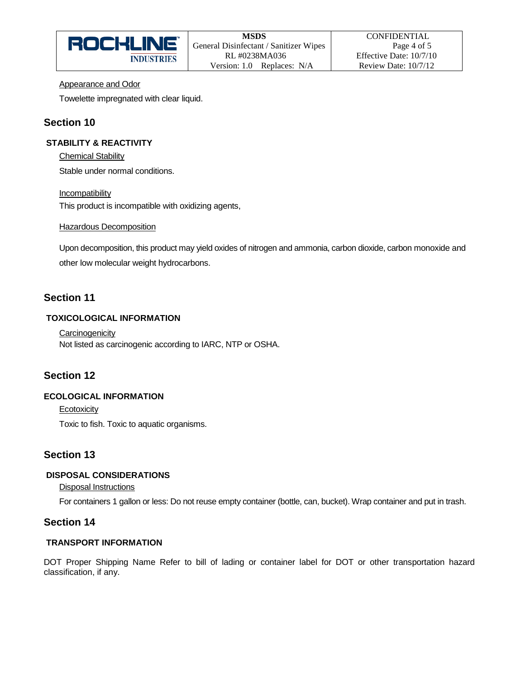

### Appearance and Odor

Towelette impregnated with clear liquid.

# **Section 10**

## **STABILITY & REACTIVITY**

Chemical Stability

Stable under normal conditions.

Incompatibility

This product is incompatible with oxidizing agents,

## **Hazardous Decomposition**

Upon decomposition, this product may yield oxides of nitrogen and ammonia, carbon dioxide, carbon monoxide and other low molecular weight hydrocarbons.

# **Section 11**

## **TOXICOLOGICAL INFORMATION**

**Carcinogenicity** Not listed as carcinogenic according to IARC, NTP or OSHA.

# **Section 12**

## **ECOLOGICAL INFORMATION**

**Ecotoxicity** 

Toxic to fish. Toxic to aquatic organisms.

## **Section 13**

## **DISPOSAL CONSIDERATIONS**

#### Disposal Instructions

For containers 1 gallon or less: Do not reuse empty container (bottle, can, bucket). Wrap container and put in trash.

## **Section 14**

## **TRANSPORT INFORMATION**

DOT Proper Shipping Name Refer to bill of lading or container label for DOT or other transportation hazard classification, if any.